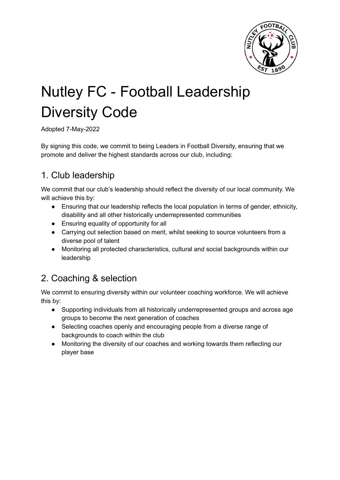

# Nutley FC - Football Leadership Diversity Code

Adopted 7-May-2022

By signing this code, we commit to being Leaders in Football Diversity, ensuring that we promote and deliver the highest standards across our club, including:

## 1. Club leadership

We commit that our club's leadership should reflect the diversity of our local community. We will achieve this by:

- Ensuring that our leadership reflects the local population in terms of gender, ethnicity, disability and all other historically underrepresented communities
- Ensuring equality of opportunity for all
- Carrying out selection based on merit, whilst seeking to source volunteers from a diverse pool of talent
- Monitoring all protected characteristics, cultural and social backgrounds within our leadership

# 2. Coaching & selection

We commit to ensuring diversity within our volunteer coaching workforce. We will achieve this by:

- Supporting individuals from all historically underrepresented groups and across age groups to become the next generation of coaches
- Selecting coaches openly and encouraging people from a diverse range of backgrounds to coach within the club
- Monitoring the diversity of our coaches and working towards them reflecting our player base